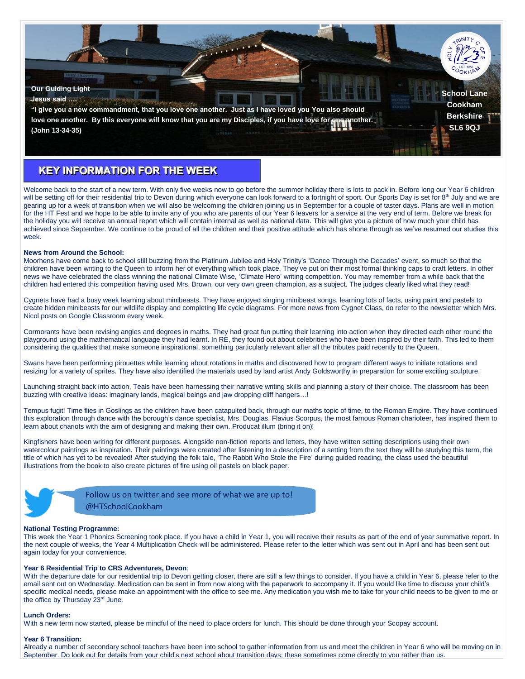

## **KEY INFORMATION FOR THE WEEK**

Welcome back to the start of a new term. With only five weeks now to go before the summer holiday there is lots to pack in. Before long our Year 6 children will be setting off for their residential trip to Devon during which everyone can look forward to a fortnight of sport. Our Sports Day is set for  $8<sup>th</sup>$  July and we are gearing up for a week of transition when we will also be welcoming the children joining us in September for a couple of taster days. Plans are well in motion for the HT Fest and we hope to be able to invite any of you who are parents of our Year 6 leavers for a service at the very end of term. Before we break for the holiday you will receive an annual report which will contain internal as well as national data. This will give you a picture of how much your child has achieved since September. We continue to be proud of all the children and their positive attitude which has shone through as we've resumed our studies this week.

## **News from Around the School:**

Moorhens have come back to school still buzzing from the Platinum Jubilee and Holy Trinity's 'Dance Through the Decades' event, so much so that the children have been writing to the Queen to inform her of everything which took place. They've put on their most formal thinking caps to craft letters. In other news we have celebrated the class winning the national Climate Wise, 'Climate Hero' writing competition. You may remember from a while back that the children had entered this competition having used Mrs. Brown, our very own green champion, as a subject. The judges clearly liked what they read!

Cygnets have had a busy week learning about minibeasts. They have enjoyed singing minibeast songs, learning lots of facts, using paint and pastels to create hidden minibeasts for our wildlife display and completing life cycle diagrams. For more news from Cygnet Class, do refer to the newsletter which Mrs. Nicol posts on Google Classroom every week.

Cormorants have been revising angles and degrees in maths. They had great fun putting their learning into action when they directed each other round the playground using the mathematical language they had learnt. In RE, they found out about celebrities who have been inspired by their faith. This led to them considering the qualities that make someone inspirational, something particularly relevant after all the tributes paid recently to the Queen.

Swans have been performing pirouettes while learning about rotations in maths and discovered how to program different ways to initiate rotations and resizing for a variety of sprites. They have also identified the materials used by land artist Andy Goldsworthy in preparation for some exciting sculpture.

Launching straight back into action, Teals have been harnessing their narrative writing skills and planning a story of their choice. The classroom has been buzzing with creative ideas: imaginary lands, magical beings and jaw dropping cliff hangers...!

Tempus fugit! Time flies in Goslings as the children have been catapulted back, through our maths topic of time, to the Roman Empire. They have continued this exploration through dance with the borough's dance specialist, Mrs. Douglas. Flavius Scorpus, the most famous Roman charioteer, has inspired them to learn about chariots with the aim of designing and making their own. Producat illum (bring it on)!

Kingfishers have been writing for different purposes. Alongside non-fiction reports and letters, they have written setting descriptions using their own watercolour paintings as inspiration. Their paintings were created after listening to a description of a setting from the text they will be studying this term, the title of which has yet to be revealed! After studying the folk tale, 'The Rabbit Who Stole the Fire' during guided reading, the class used the beautiful illustrations from the book to also create pictures of fire using oil pastels on black paper.



Follow us on twitter and see more of what we are up to! @HTSchoolCookham

## **National Testing Programme:**

This week the Year 1 Phonics Screening took place. If you have a child in Year 1, you will receive their results as part of the end of year summative report. In the next couple of weeks, the Year 4 Multiplication Check will be administered. Please refer to the letter which was sent out in April and has been sent out again today for your convenience.

#### **Year 6 Residential Trip to CRS Adventures, Devon**:

With the departure date for our residential trip to Devon getting closer, there are still a few things to consider. If you have a child in Year 6, please refer to the email sent out on Wednesday. Medication can be sent in from now along with the paperwork to accompany it. If you would like time to discuss your child's specific medical needs, please make an appointment with the office to see me. Any medication you wish me to take for your child needs to be given to me or the office by Thursday 23<sup>rd</sup> June.

#### **Lunch Orders:**

With a new term now started, please be mindful of the need to place orders for lunch. This should be done through your Scopay account.

#### **Year 6 Transition:**

Already a number of secondary school teachers have been into school to gather information from us and meet the children in Year 6 who will be moving on in September. Do look out for details from your child's next school about transition days; these sometimes come directly to you rather than us.